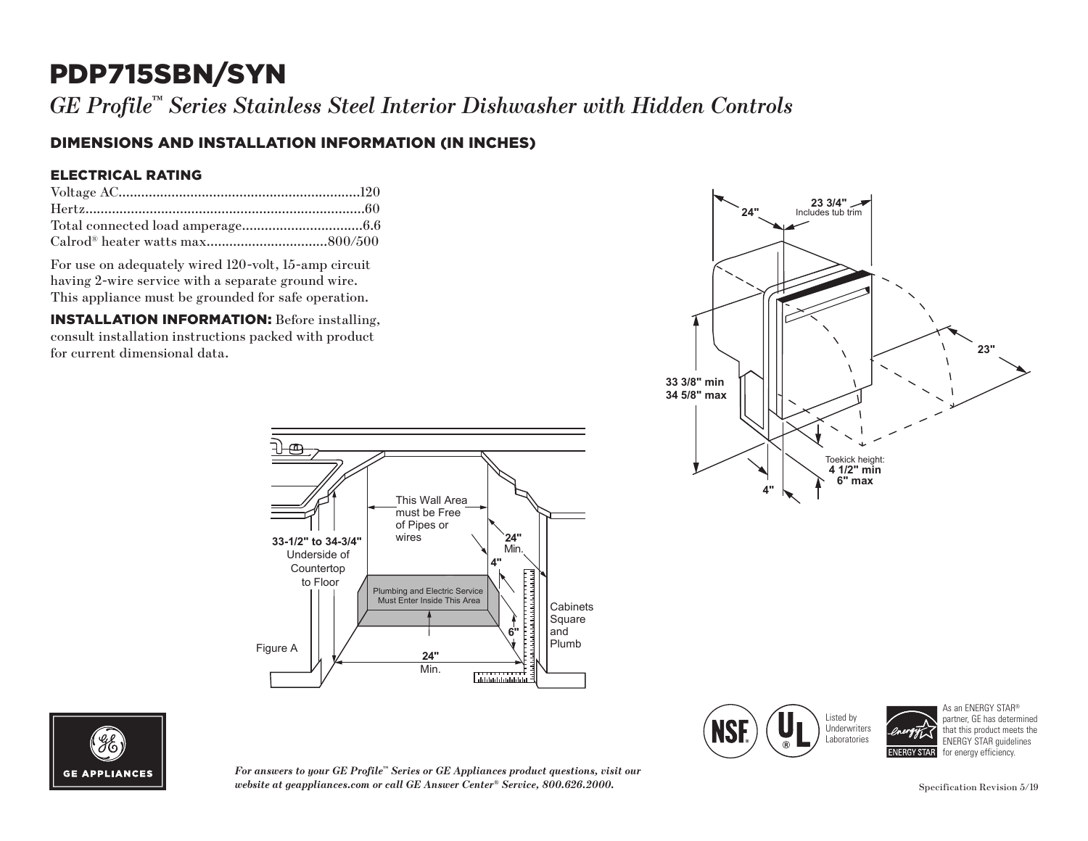# PDP715SBN/SYN

*GE Profile™ Series Stainless Steel Interior Dishwasher with Hidden Controls*

### DIMENSIONS AND INSTALLATION INFORMATION (IN INCHES)

#### ELECTRICAL RATING

For use on adequately wired 120-volt, 15-amp circuit having 2-wire service with a separate ground wire. This appliance must be grounded for safe operation.

INSTALLATION INFORMATION: Before installing, consult installation instructions packed with product for current dimensional data.







*For answers to your GE Profile™ Series or GE Appliances product questions, visit our website at geappliances.com or call GE Answer Center® Service, 800.626.2000.* Specification Revision 5/19